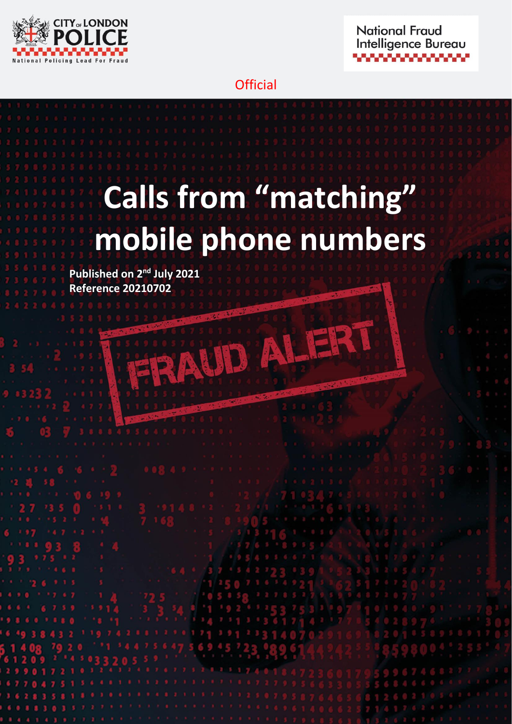



### **Official**

# **Calls from "matching" mobile phone numbers**

HRAUD ALERT

**Published on 2<sup>nd</sup> July 2021 Reference 20210702**